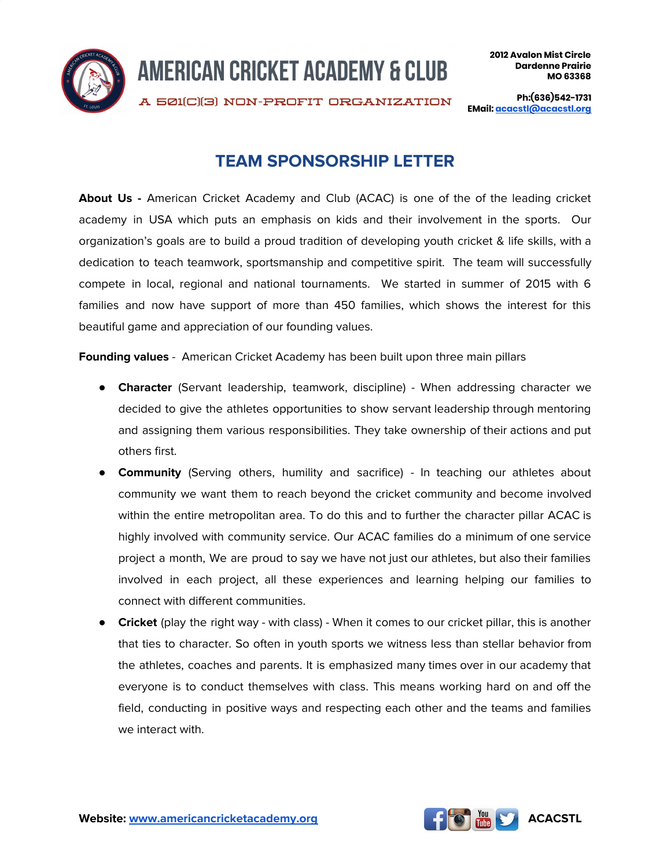

A 501(C)(3) NON-PROFIT ORGANIZATION

**Ph:(636)542-1731 EMail: [acacstl@acacstl.org](mailto:acacstl@acacstl.org)**

# **TEAM SPONSORSHIP LETTER**

About Us - American Cricket Academy and Club (ACAC) is one of the of the leading cricket academy in USA which puts an emphasis on kids and their involvement in the sports. Our organization's goals are to build a proud tradition of developing youth cricket & life skills, with a dedication to teach teamwork, sportsmanship and competitive spirit. The team will successfully compete in local, regional and national tournaments. We started in summer of 2015 with 6 families and now have support of more than 450 families, which shows the interest for this beautiful game and appreciation of our founding values.

**Founding values** - American Cricket Academy has been built upon three main pillars

- **Character** (Servant leadership, teamwork, discipline) When addressing character we decided to give the athletes opportunities to show servant leadership through mentoring and assigning them various responsibilities. They take ownership of their actions and put others first.
- **Community** (Serving others, humility and sacrifice) In teaching our athletes about community we want them to reach beyond the cricket community and become involved within the entire metropolitan area. To do this and to further the character pillar ACAC is highly involved with community service. Our ACAC families do a minimum of one service project a month, We are proud to say we have not just our athletes, but also their families involved in each project, all these experiences and learning helping our families to connect with different communities.
- **Cricket** (play the right way with class) When it comes to our cricket pillar, this is another that ties to character. So often in youth sports we witness less than stellar behavior from the athletes, coaches and parents. It is emphasized many times over in our academy that everyone is to conduct themselves with class. This means working hard on and off the field, conducting in positive ways and respecting each other and the teams and families we interact with.

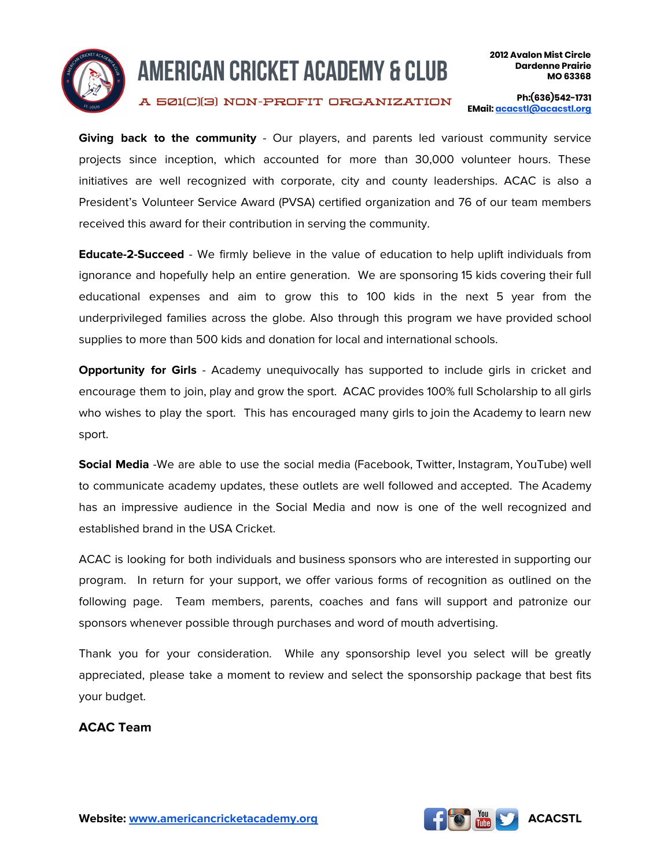

A 501(C)(3) NON-PROFIT ORGANIZATION

**Ph:(636)542-1731 EMail: [acacstl@acacstl.org](mailto:acacstl@acacstl.org)**

**Giving back to the community** - Our players, and parents led varioust community service projects since inception, which accounted for more than 30,000 volunteer hours. These initiatives are well recognized with corporate, city and county leaderships. ACAC is also a President's Volunteer Service Award (PVSA) certified organization and 76 of our team members received this award for their contribution in serving the community.

**Educate-2-Succeed** - We firmly believe in the value of education to help uplift individuals from ignorance and hopefully help an entire generation. We are sponsoring 15 kids covering their full educational expenses and aim to grow this to 100 kids in the next 5 year from the underprivileged families across the globe. Also through this program we have provided school supplies to more than 500 kids and donation for local and international schools.

**Opportunity for Girls** - Academy unequivocally has supported to include girls in cricket and encourage them to join, play and grow the sport. ACAC provides 100% full Scholarship to all girls who wishes to play the sport. This has encouraged many girls to join the Academy to learn new sport.

**Social Media** -We are able to use the social media (Facebook, Twitter, Instagram, YouTube) well to communicate academy updates, these outlets are well followed and accepted. The Academy has an impressive audience in the Social Media and now is one of the well recognized and established brand in the USA Cricket.

ACAC is looking for both individuals and business sponsors who are interested in supporting our program. In return for your support, we offer various forms of recognition as outlined on the following page. Team members, parents, coaches and fans will support and patronize our sponsors whenever possible through purchases and word of mouth advertising.

Thank you for your consideration. While any sponsorship level you select will be greatly appreciated, please take a moment to review and select the sponsorship package that best fits your budget.

**ACAC Team**

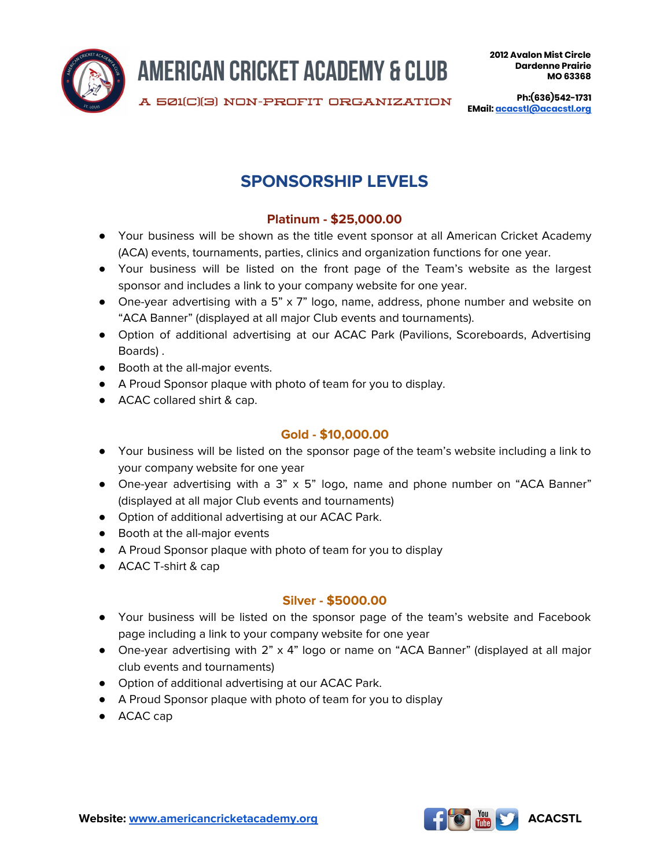

A 501(C)(3) NON-PROFIT ORGANIZATION

**Ph:(636)542-1731 EMail: [acacstl@acacstl.org](mailto:acacstl@acacstl.org)**

# **SPONSORSHIP LEVELS**

## **Platinum - \$25,000.00**

- Your business will be shown as the title event sponsor at all American Cricket Academy (ACA) events, tournaments, parties, clinics and organization functions for one year.
- Your business will be listed on the front page of the Team's website as the largest sponsor and includes a link to your company website for one year.
- One-year advertising with a 5" x 7" logo, name, address, phone number and website on "ACA Banner" (displayed at all major Club events and tournaments).
- Option of additional advertising at our ACAC Park (Pavilions, Scoreboards, Advertising Boards) .
- Booth at the all-major events.
- A Proud Sponsor plaque with photo of team for you to display.
- ACAC collared shirt & cap.

#### **Gold - \$10,000.00**

- Your business will be listed on the sponsor page of the team's website including a link to your company website for one year
- One-year advertising with a 3" x 5" logo, name and phone number on "ACA Banner" (displayed at all major Club events and tournaments)
- Option of additional advertising at our ACAC Park.
- Booth at the all-major events
- A Proud Sponsor plaque with photo of team for you to display
- ACAC T-shirt & cap

#### **Silver - \$5000.00**

- Your business will be listed on the sponsor page of the team's website and Facebook page including a link to your company website for one year
- One-year advertising with 2" x 4" logo or name on "ACA Banner" (displayed at all major club events and tournaments)
- Option of additional advertising at our ACAC Park.
- A Proud Sponsor plaque with photo of team for you to display
- ACAC cap